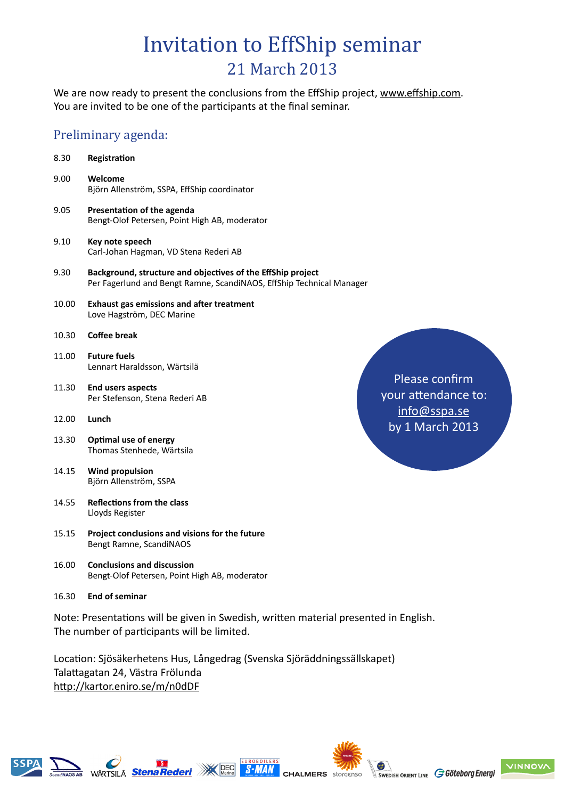## Invitation to EffShip seminar 21 March 2013

We are now ready to present the conclusions from the EffShip project, www.effship.com. You are invited to be one of the participants at the final seminar.

### Preliminary agenda:

| 8.30  | Registration                                                                                                                        |
|-------|-------------------------------------------------------------------------------------------------------------------------------------|
| 9.00  | Welcome<br>Björn Allenström, SSPA, EffShip coordinator                                                                              |
| 9.05  | Presentation of the agenda<br>Bengt-Olof Petersen, Point High AB, moderator                                                         |
| 9.10  | Key note speech<br>Carl-Johan Hagman, VD Stena Rederi AB                                                                            |
| 9.30  | Background, structure and objectives of the EffShip project<br>Per Fagerlund and Bengt Ramne, ScandiNAOS, EffShip Technical Manager |
| 10.00 | <b>Exhaust gas emissions and after treatment</b><br>Love Hagström, DEC Marine                                                       |
| 10.30 | Coffee break                                                                                                                        |
| 11.00 | <b>Future fuels</b><br>Lennart Haraldsson, Wärtsilä                                                                                 |
| 11.30 | $P _{\theta}$<br><b>End users aspects</b><br>your<br>Per Stefenson, Stena Rederi AB                                                 |
| 12.00 | <u>in</u><br>Lunch<br>by :                                                                                                          |
| 13.30 | Optimal use of energy<br>Thomas Stenhede, Wärtsila                                                                                  |
| 14.15 | <b>Wind propulsion</b><br>Björn Allenström, SSPA                                                                                    |
| 14.55 | Reflections from the class<br>Lloyds Register                                                                                       |
| 15.15 | Project conclusions and visions for the future<br>Bengt Ramne, ScandiNAOS                                                           |
| 16.00 | <b>Conclusions and discussion</b><br>Bengt-Olof Petersen, Point High AB, moderator                                                  |
| 16.30 | <b>End of seminar</b>                                                                                                               |
|       |                                                                                                                                     |

Note: Presentations will be given in Swedish, written material presented in English. The number of participants will be limited.

**S-MAN** 

Location: Sjösäkerhetens Hus, Långedrag (Svenska Sjöräddningssällskapet) Talattagatan 24, Västra Frölunda http://kartor.eniro.se/m/n0dDF

ease confirm attendance to: ifo@sspa.se 1 March 2013





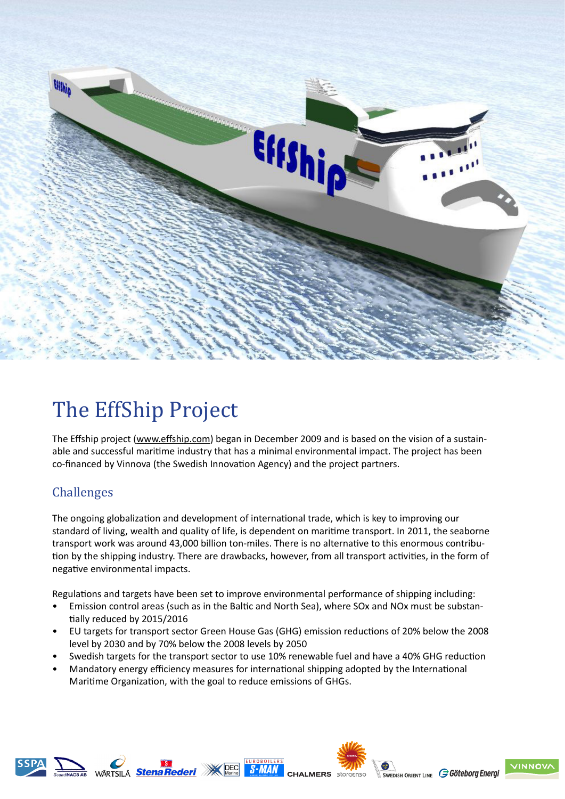

# The EffShip Project

The Effship project (www.effship.com) began in December 2009 and is based on the vision of a sustainable and successful maritime industry that has a minimal environmental impact. The project has been co-financed by Vinnova (the Swedish Innovation Agency) and the project partners.

### Challenges

The ongoing globalization and development of international trade, which is key to improving our standard of living, wealth and quality of life, is dependent on maritime transport. In 2011, the seaborne transport work was around 43,000 billion ton-miles. There is no alternative to this enormous contribution by the shipping industry. There are drawbacks, however, from all transport activities, in the form of negative environmental impacts.

Regulations and targets have been set to improve environmental performance of shipping including:

- Emission control areas (such as in the Baltic and North Sea), where SOx and NOx must be substantially reduced by 2015/2016
- EU targets for transport sector Green House Gas (GHG) emission reductions of 20% below the 2008 level by 2030 and by 70% below the 2008 levels by 2050
- Swedish targets for the transport sector to use 10% renewable fuel and have a 40% GHG reduction
- Mandatory energy efficiency measures for international shipping adopted by the International Maritime Organization, with the goal to reduce emissions of GHGs.